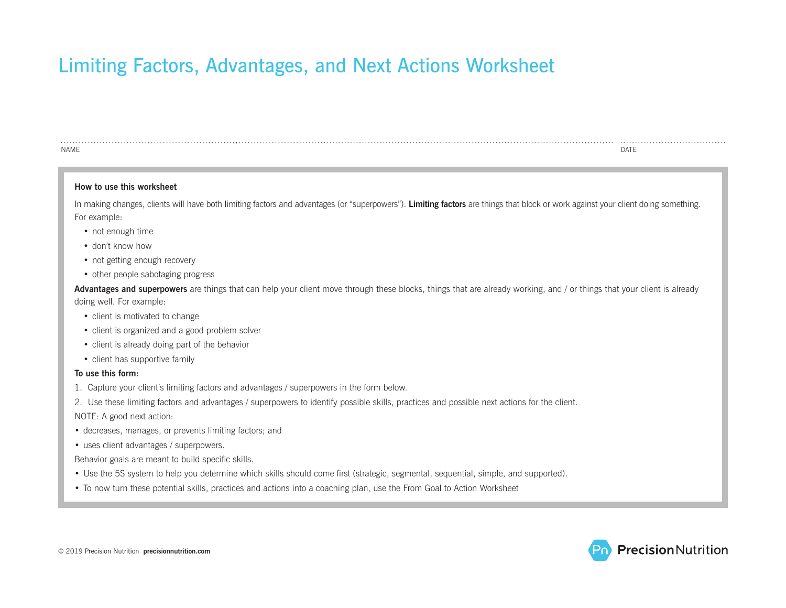## Limiting Factors, Advantages, and Next Actions Worksheet

| <b>NAME</b>                                                                                                                                                                       | <b>DATE</b> |
|-----------------------------------------------------------------------------------------------------------------------------------------------------------------------------------|-------------|
| How to use this worksheet                                                                                                                                                         |             |
| In making changes, clients will have both limiting factors and advantages (or "superpowers"). Limiting factors are things that block or work against your client doing something. |             |
| For example:                                                                                                                                                                      |             |
| • not enough time                                                                                                                                                                 |             |
| • don't know how                                                                                                                                                                  |             |
| • not getting enough recovery                                                                                                                                                     |             |
| • other people sabotaging progress                                                                                                                                                |             |
| Advantages and superpowers are things that can help your client move through these blocks, things that are already working, and / or things that your client is already           |             |
| doing well. For example:                                                                                                                                                          |             |
| • client is motivated to change                                                                                                                                                   |             |
| • client is organized and a good problem solver                                                                                                                                   |             |
| • client is already doing part of the behavior                                                                                                                                    |             |
| • client has supportive family                                                                                                                                                    |             |
| To use this form:                                                                                                                                                                 |             |
| 1. Capture your client's limiting factors and advantages / superpowers in the form below.                                                                                         |             |
| 2. Use these limiting factors and advantages / superpowers to identify possible skills, practices and possible next actions for the client.                                       |             |
| NOTE: A good next action:                                                                                                                                                         |             |
| • decreases, manages, or prevents limiting factors; and                                                                                                                           |             |
| • uses client advantages / superpowers.                                                                                                                                           |             |
| Behavior goals are meant to build specific skills.                                                                                                                                |             |
| • Use the 5S system to help you determine which skills should come first (strategic, segmental, sequential, simple, and supported).                                               |             |
| • To now turn these potential skills, practices and actions into a coaching plan, use the From Goal to Action Worksheet                                                           |             |